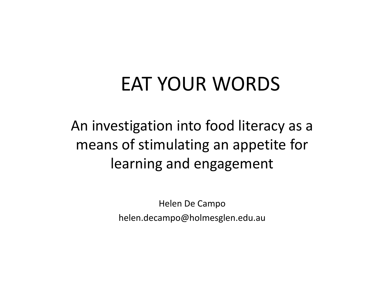An investigation into food literacy as a means of stimulating an appetite for learning and engagement

> Helen De Campohelen.decampo@holmesglen.edu.au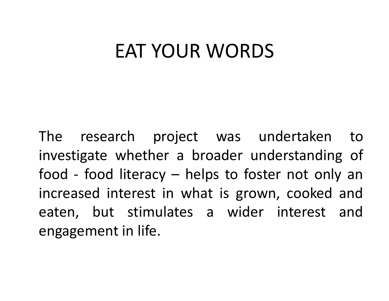The research project was undertaken to investigate whether a broader understanding of food - food literacy – helps to foster not only an increased interest in what is grown, cooked and eaten, but stimulates <sup>a</sup> wider interest andengagement in life.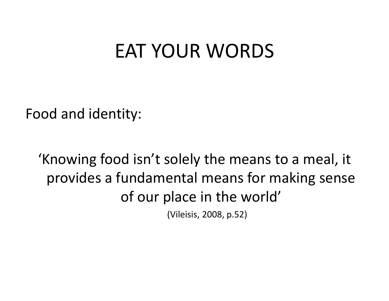Food and identity:

'Knowing food isn't solely the means to a meal, it provides a fundamental means for making sense of our place in the world'

(Vileisis, 2008, p.52)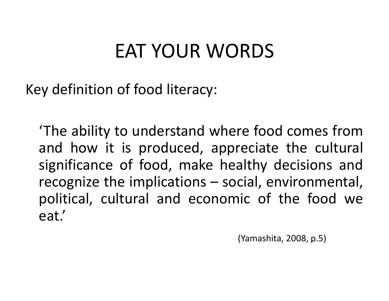Key definition of food literacy:

'The ability to understand where food comes fromand how it is produced, appreciate the cultural<br>significance of food make healthy decisions and significance of food, make healthy decisions and recognize the implications – social, environmental, political, cultural and economic of the food we eat.'

(Yamashita, 2008, p.5)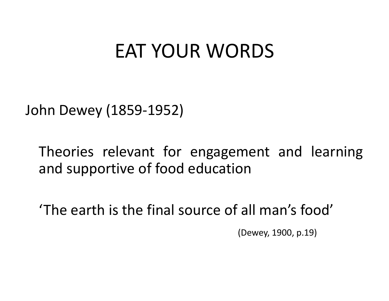John Dewey (1859-1952)

Theories relevant for engagement and learning and supportive of food education

'The earth is the final source of all man's food'

(Dewey, 1900, p.19)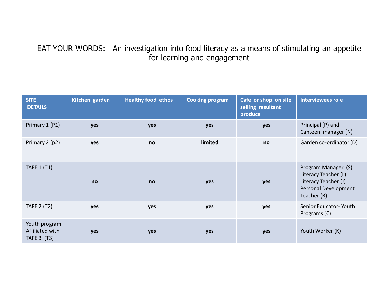### EAT YOUR WORDS: An investigation into food literacy as a means of stimulating an appetite for learning and engagement

| <b>SITE</b><br><b>DETAILS</b>                   | Kitchen garden | <b>Healthy food ethos</b> | <b>Cooking program</b> | Cafe or shop on site<br>selling resultant<br>produce | <b>Interviewees role</b>                                                                                   |
|-------------------------------------------------|----------------|---------------------------|------------------------|------------------------------------------------------|------------------------------------------------------------------------------------------------------------|
| Primary 1 (P1)                                  | yes            | yes                       | yes                    | yes                                                  | Principal (P) and<br>Canteen manager (N)                                                                   |
| Primary 2 (p2)                                  | yes            | no                        | limited                | no                                                   | Garden co-ordinator (D)                                                                                    |
| <b>TAFE 1 (T1)</b>                              | no             | no                        | yes                    | yes                                                  | Program Manager (S)<br>Literacy Teacher (L)<br>Literacy Teacher (J)<br>Personal Development<br>Teacher (B) |
| <b>TAFE 2 (T2)</b>                              | yes            | yes                       | yes                    | yes                                                  | Senior Educator-Youth<br>Programs (C)                                                                      |
| Youth program<br>Affiliated with<br>TAFE 3 (T3) | yes            | yes                       | yes                    | yes                                                  | Youth Worker (K)                                                                                           |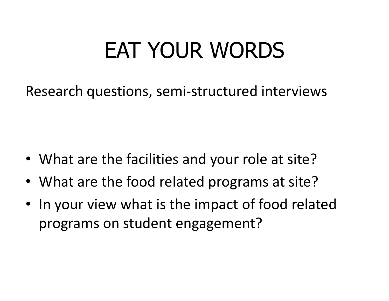Research questions, semi-structured interviews

- What are the facilities and your role at site?
- What are the food related programs at site?
- In your view what is the impact of food related programs on student engagement?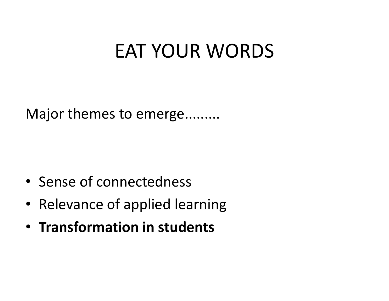Major themes to emerge.........

- Sense of connectedness
- Relevance of applied learning
- Transformation in students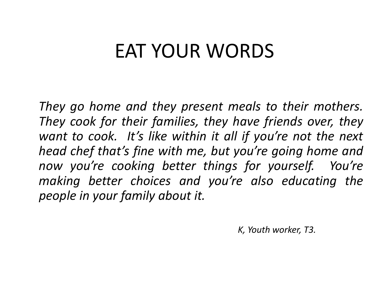They go home and they present meals to their mothers. They cook for their families, they have friends over, they want to cook. It's like within it all if you're not the next head chef that's fine with me, but you're going home and now you're cooking better things for yourself. You're making better choices and you're also educating the people in your family about it.

K, Youth worker, T3.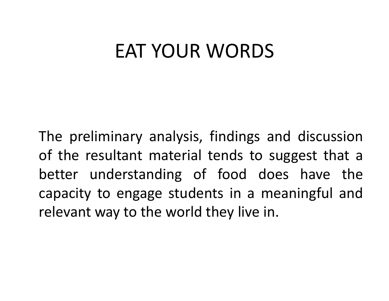The preliminary analysis, findings and discussion of the resultant material tends to suggest that abetter understanding of food does have the capacity to engage students in <sup>a</sup> meaningful andrelevant way to the world they live in.